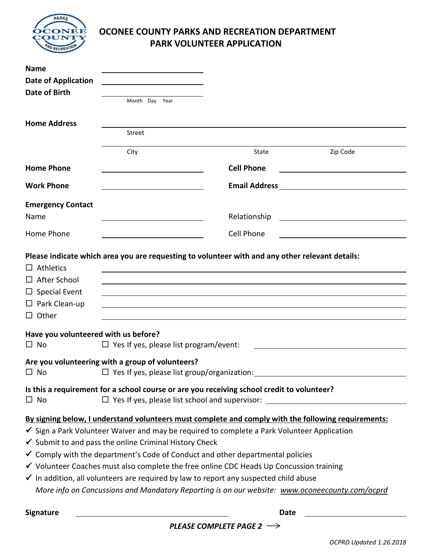

## **OCONEE COUNTY PARKS AND RECREATION DEPARTMENT PARK VOLUNTEER APPLICATION**

| <b>Name</b>                                       |                                                                                                                                                            |                                                                                                                       |          |
|---------------------------------------------------|------------------------------------------------------------------------------------------------------------------------------------------------------------|-----------------------------------------------------------------------------------------------------------------------|----------|
| <b>Date of Application</b>                        |                                                                                                                                                            |                                                                                                                       |          |
| Date of Birth                                     |                                                                                                                                                            |                                                                                                                       |          |
|                                                   | Month Day Year                                                                                                                                             |                                                                                                                       |          |
| <b>Home Address</b>                               |                                                                                                                                                            |                                                                                                                       |          |
|                                                   | Street                                                                                                                                                     |                                                                                                                       |          |
|                                                   | City                                                                                                                                                       | State                                                                                                                 | Zip Code |
| <b>Home Phone</b>                                 |                                                                                                                                                            | <b>Cell Phone</b>                                                                                                     |          |
| <b>Work Phone</b>                                 |                                                                                                                                                            |                                                                                                                       |          |
| <b>Emergency Contact</b>                          |                                                                                                                                                            |                                                                                                                       |          |
| Name                                              |                                                                                                                                                            | Relationship                                                                                                          |          |
| Home Phone                                        |                                                                                                                                                            | Cell Phone                                                                                                            |          |
| $\Box$ Athletics<br>$\Box$ After School           | Please indicate which area you are requesting to volunteer with and any other relevant details:                                                            |                                                                                                                       |          |
| $\Box$ Special Event                              |                                                                                                                                                            |                                                                                                                       |          |
| $\Box$ Park Clean-up                              |                                                                                                                                                            | <u> 1989 - Johann Stoff, deutscher Stoff, der Stoff, der Stoff, der Stoff, der Stoff, der Stoff, der Stoff, der S</u> |          |
| $\Box$ Other                                      |                                                                                                                                                            |                                                                                                                       |          |
| Have you volunteered with us before?<br>$\Box$ No | $\Box$ Yes If yes, please list program/event:                                                                                                              |                                                                                                                       |          |
| $\Box$ No                                         | Are you volunteering with a group of volunteers?<br>$\Box$ Yes If yes, please list group/organization: $\Box$                                              |                                                                                                                       |          |
| $\square$ No                                      | Is this a requirement for a school course or are you receiving school credit to volunteer?<br>$\Box$ Yes If yes, please list school and supervisor: $\Box$ |                                                                                                                       |          |
|                                                   | By signing below, I understand volunteers must complete and comply with the following requirements:                                                        |                                                                                                                       |          |
|                                                   | $\checkmark$ Sign a Park Volunteer Waiver and may be required to complete a Park Volunteer Application                                                     |                                                                                                                       |          |
|                                                   | $\checkmark$ Submit to and pass the online Criminal History Check                                                                                          |                                                                                                                       |          |
|                                                   | $\checkmark$ Comply with the department's Code of Conduct and other departmental policies                                                                  |                                                                                                                       |          |
|                                                   | ✔ Volunteer Coaches must also complete the free online CDC Heads Up Concussion training                                                                    |                                                                                                                       |          |
|                                                   | √ In addition, all volunteers are required by law to report any suspected child abuse                                                                      |                                                                                                                       |          |
|                                                   | More info on Concussions and Mandatory Reporting is on our website: www.oconeecounty.com/ocprd                                                             |                                                                                                                       |          |
| <b>Signature</b>                                  |                                                                                                                                                            | <b>Date</b>                                                                                                           |          |